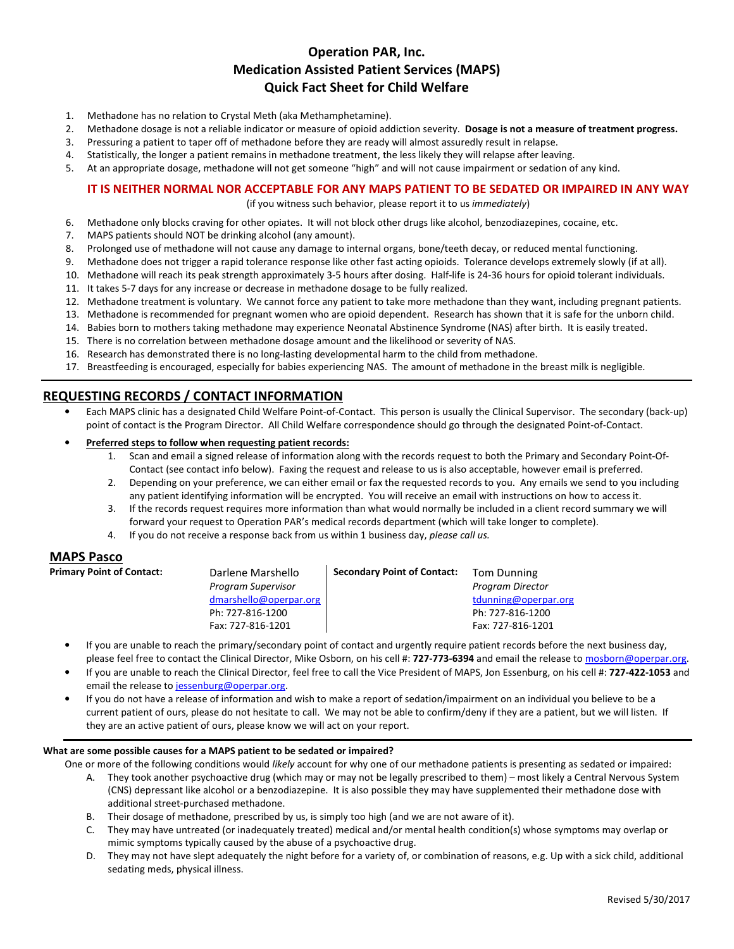# **Operation PAR, Inc. Medication Assisted Patient Services (MAPS) Quick Fact Sheet for Child Welfare**

- 1. Methadone has no relation to Crystal Meth (aka Methamphetamine).
- 2. Methadone dosage is not a reliable indicator or measure of opioid addiction severity. **Dosage is not a measure of treatment progress.**
- 3. Pressuring a patient to taper off of methadone before they are ready will almost assuredly result in relapse.
- 4. Statistically, the longer a patient remains in methadone treatment, the less likely they will relapse after leaving.
- 5. At an appropriate dosage, methadone will not get someone "high" and will not cause impairment or sedation of any kind.

## **IT IS NEITHER NORMAL NOR ACCEPTABLE FOR ANY MAPS PATIENT TO BE SEDATED OR IMPAIRED IN ANY WAY**

(if you witness such behavior, please report it to us *immediately*)

- 6. Methadone only blocks craving for other opiates. It will not block other drugs like alcohol, benzodiazepines, cocaine, etc.
- 7. MAPS patients should NOT be drinking alcohol (any amount).
- 8. Prolonged use of methadone will not cause any damage to internal organs, bone/teeth decay, or reduced mental functioning.
- 9. Methadone does not trigger a rapid tolerance response like other fast acting opioids. Tolerance develops extremely slowly (if at all).
- 10. Methadone will reach its peak strength approximately 3-5 hours after dosing. Half-life is 24-36 hours for opioid tolerant individuals.
- 11. It takes 5-7 days for any increase or decrease in methadone dosage to be fully realized.
- 12. Methadone treatment is voluntary. We cannot force any patient to take more methadone than they want, including pregnant patients.
- 13. Methadone is recommended for pregnant women who are opioid dependent. Research has shown that it is safe for the unborn child.
- 14. Babies born to mothers taking methadone may experience Neonatal Abstinence Syndrome (NAS) after birth. It is easily treated.
- 15. There is no correlation between methadone dosage amount and the likelihood or severity of NAS.
- 16. Research has demonstrated there is no long-lasting developmental harm to the child from methadone.
- 17. Breastfeeding is encouraged, especially for babies experiencing NAS. The amount of methadone in the breast milk is negligible.

## **REQUESTING RECORDS / CONTACT INFORMATION**

- Each MAPS clinic has a designated Child Welfare Point-of-Contact. This person is usually the Clinical Supervisor. The secondary (back-up) point of contact is the Program Director. All Child Welfare correspondence should go through the designated Point-of-Contact.
- **Preferred steps to follow when requesting patient records:**
	- 1. Scan and email a signed release of information along with the records request to both the Primary and Secondary Point-Of-Contact (see contact info below). Faxing the request and release to us is also acceptable, however email is preferred.
	- 2. Depending on your preference, we can either email or fax the requested records to you. Any emails we send to you including any patient identifying information will be encrypted. You will receive an email with instructions on how to access it.
	- 3. If the records request requires more information than what would normally be included in a client record summary we will forward your request to Operation PAR's medical records department (which will take longer to complete).
	- 4. If you do not receive a response back from us within 1 business day, *please call us.*

## **MAPS Pasco**

**Primary Point of Contact:** 

| Darlene Marshello         | <b>Secondary Point of Contact:</b> | <b>Tom Dunning</b>      |
|---------------------------|------------------------------------|-------------------------|
| <b>Program Supervisor</b> |                                    | <b>Program Director</b> |
| dmarshello@operpar.org    |                                    | tdunning@operpar.org    |
| Ph: 727-816-1200          |                                    | Ph: 727-816-1200        |
| Fax: 727-816-1201         |                                    | Fax: 727-816-1201       |
|                           |                                    |                         |

- If you are unable to reach the primary/secondary point of contact and urgently require patient records before the next business day, please feel free to contact the Clinical Director, Mike Osborn, on his cell #: 727-773-6394 and email the release to mosborn@operpar.org.
- If you are unable to reach the Clinical Director, feel free to call the Vice President of MAPS, Jon Essenburg, on his cell #: **727-422-1053** and email the release to jessenburg@operpar.org.
- If you do not have a release of information and wish to make a report of sedation/impairment on an individual you believe to be a current patient of ours, please do not hesitate to call. We may not be able to confirm/deny if they are a patient, but we will listen. If they are an active patient of ours, please know we will act on your report.

### **What are some possible causes for a MAPS patient to be sedated or impaired?**

- One or more of the following conditions would *likely* account for why one of our methadone patients is presenting as sedated or impaired: A. They took another psychoactive drug (which may or may not be legally prescribed to them) – most likely a Central Nervous System (CNS) depressant like alcohol or a benzodiazepine. It is also possible they may have supplemented their methadone dose with additional street-purchased methadone.
	- B. Their dosage of methadone, prescribed by us, is simply too high (and we are not aware of it).
	- C. They may have untreated (or inadequately treated) medical and/or mental health condition(s) whose symptoms may overlap or mimic symptoms typically caused by the abuse of a psychoactive drug.
	- D. They may not have slept adequately the night before for a variety of, or combination of reasons, e.g. Up with a sick child, additional sedating meds, physical illness.